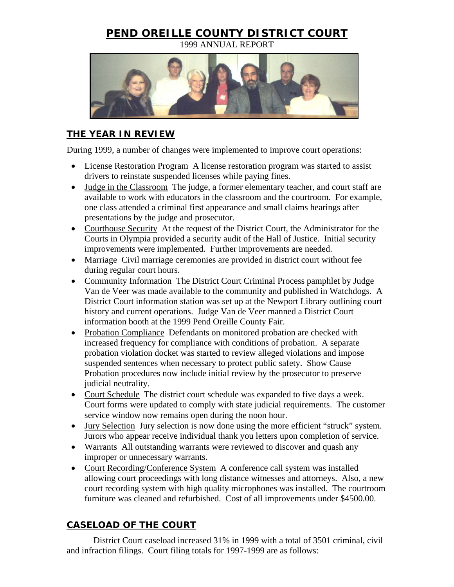## **PEND OREILLE COUNTY DISTRICT COURT**

1999 ANNUAL REPORT



## **THE YEAR IN REVIEW**

During 1999, a number of changes were implemented to improve court operations:

- License Restoration Program A license restoration program was started to assist drivers to reinstate suspended licenses while paying fines.
- Judge in the Classroom The judge, a former elementary teacher, and court staff are available to work with educators in the classroom and the courtroom. For example, one class attended a criminal first appearance and small claims hearings after presentations by the judge and prosecutor.
- Courthouse Security At the request of the District Court, the Administrator for the Courts in Olympia provided a security audit of the Hall of Justice. Initial security improvements were implemented. Further improvements are needed.
- Marriage Civil marriage ceremonies are provided in district court without fee during regular court hours.
- Community Information The District Court Criminal Process pamphlet by Judge Van de Veer was made available to the community and published in Watchdogs. A District Court information station was set up at the Newport Library outlining court history and current operations. Judge Van de Veer manned a District Court information booth at the 1999 Pend Oreille County Fair.
- Probation Compliance Defendants on monitored probation are checked with increased frequency for compliance with conditions of probation. A separate probation violation docket was started to review alleged violations and impose suspended sentences when necessary to protect public safety. Show Cause Probation procedures now include initial review by the prosecutor to preserve judicial neutrality.
- Court Schedule The district court schedule was expanded to five days a week. Court forms were updated to comply with state judicial requirements. The customer service window now remains open during the noon hour.
- Jury Selection Jury selection is now done using the more efficient "struck" system. Jurors who appear receive individual thank you letters upon completion of service.
- Warrants All outstanding warrants were reviewed to discover and quash any improper or unnecessary warrants.
- Court Recording/Conference System A conference call system was installed allowing court proceedings with long distance witnesses and attorneys. Also, a new court recording system with high quality microphones was installed. The courtroom furniture was cleaned and refurbished. Cost of all improvements under \$4500.00.

## **CASELOAD OF THE COURT**

District Court caseload increased 31% in 1999 with a total of 3501 criminal, civil and infraction filings. Court filing totals for 1997-1999 are as follows: